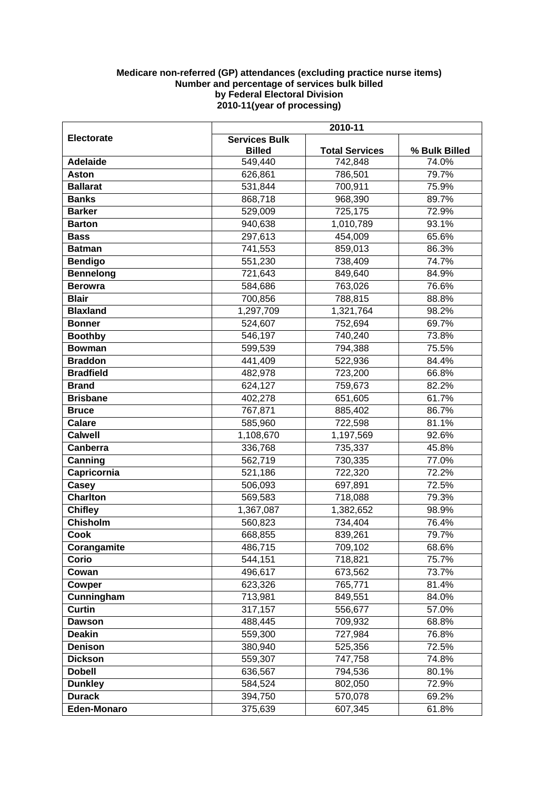## **Medicare non-referred (GP) attendances (excluding practice nurse items) Number and percentage of services bulk billed by Federal Electoral Division 2010-11(year of processing)**

|                          | 2010-11                               |                       |                |
|--------------------------|---------------------------------------|-----------------------|----------------|
| <b>Electorate</b>        | <b>Services Bulk</b><br><b>Billed</b> | <b>Total Services</b> | % Bulk Billed  |
| <b>Adelaide</b>          | 549,440                               | 742,848               | 74.0%          |
| Aston                    | 626,861                               | 786,501               | 79.7%          |
| <b>Ballarat</b>          | 531,844                               | 700,911               | 75.9%          |
| <b>Banks</b>             | 868,718                               | 968,390               | 89.7%          |
| <b>Barker</b>            | 529,009                               | 725,175               | 72.9%          |
| <b>Barton</b>            | 940,638                               | 1,010,789             | 93.1%          |
| <b>Bass</b>              | 297,613                               | 454,009               | 65.6%          |
| <b>Batman</b>            | 741,553                               | 859,013               | 86.3%          |
| <b>Bendigo</b>           | 551,230                               | 738,409               | 74.7%          |
| <b>Bennelong</b>         | 721,643                               | 849,640               | 84.9%          |
| <b>Berowra</b>           | 584,686                               | 763,026               | 76.6%          |
| <b>Blair</b>             | 700,856                               | 788,815               | 88.8%          |
| <b>Blaxland</b>          | 1,297,709                             | 1,321,764             | 98.2%          |
| <b>Bonner</b>            | 524,607                               | 752,694               | 69.7%          |
| <b>Boothby</b>           | 546,197                               | 740,240               | 73.8%          |
| <b>Bowman</b>            | 599,539                               | 794,388               | 75.5%          |
| <b>Braddon</b>           | 441,409                               | 522,936               | 84.4%          |
| <b>Bradfield</b>         | 482,978                               | 723,200               | 66.8%          |
| <b>Brand</b>             | 624,127                               | 759,673               | 82.2%          |
| <b>Brisbane</b>          | 402,278                               | 651,605               | 61.7%          |
| <b>Bruce</b>             | 767,871                               | 885,402               | 86.7%          |
| <b>Calare</b>            | 585,960                               | 722,598               | 81.1%          |
| <b>Calwell</b>           | 1,108,670                             | 1,197,569             | 92.6%          |
| Canberra                 | 336,768                               | 735,337               | 45.8%          |
| Canning                  | 562,719                               | 730,335               | 77.0%          |
| Capricornia              | 521,186                               | 722,320               | 72.2%          |
| Casey<br><b>Charlton</b> | 506,093                               | 697,891               | 72.5%<br>79.3% |
| <b>Chifley</b>           | 569,583<br>1,367,087                  | 718,088<br>1,382,652  | 98.9%          |
| <b>Chisholm</b>          | 560,823                               | 734,404               | 76.4%          |
| <b>Cook</b>              | 668,855                               | 839,261               | 79.7%          |
| Corangamite              | 486,715                               | 709,102               | 68.6%          |
| Corio                    | 544,151                               | 718,821               | 75.7%          |
| Cowan                    | 496,617                               | 673,562               | 73.7%          |
| Cowper                   | 623,326                               | 765,771               | 81.4%          |
| Cunningham               | 713,981                               | 849,551               | 84.0%          |
| <b>Curtin</b>            | 317,157                               | 556,677               | 57.0%          |
| <b>Dawson</b>            | 488,445                               | 709,932               | 68.8%          |
| <b>Deakin</b>            | 559,300                               | 727,984               | 76.8%          |
| <b>Denison</b>           | 380,940                               | 525,356               | 72.5%          |
| <b>Dickson</b>           | 559,307                               | 747,758               | 74.8%          |
| <b>Dobell</b>            | 636,567                               | 794,536               | 80.1%          |
| <b>Dunkley</b>           | 584,524                               | 802,050               | 72.9%          |
| <b>Durack</b>            | 394,750                               | 570,078               | 69.2%          |
| <b>Eden-Monaro</b>       | 375,639                               | 607,345               | 61.8%          |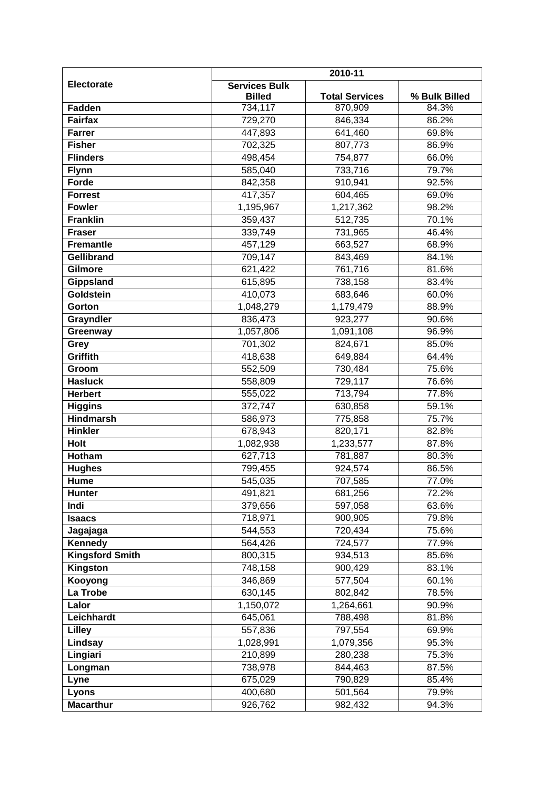|                        | 2010-11                               |                       |               |
|------------------------|---------------------------------------|-----------------------|---------------|
| <b>Electorate</b>      | <b>Services Bulk</b><br><b>Billed</b> | <b>Total Services</b> | % Bulk Billed |
| <b>Fadden</b>          | 734,117                               | 870,909               | 84.3%         |
| <b>Fairfax</b>         | 729,270                               | 846,334               | 86.2%         |
| <b>Farrer</b>          | 447,893                               | 641,460               | 69.8%         |
| <b>Fisher</b>          | 702,325                               | 807,773               | 86.9%         |
| <b>Flinders</b>        | 498,454                               | 754,877               | 66.0%         |
| <b>Flynn</b>           | 585,040                               | 733,716               | 79.7%         |
| Forde                  | 842,358                               | 910,941               | 92.5%         |
| <b>Forrest</b>         | 417,357                               | 604,465               | 69.0%         |
| <b>Fowler</b>          | 1,195,967                             | 1,217,362             | 98.2%         |
| Franklin               | 359,437                               | 512,735               | 70.1%         |
| <b>Fraser</b>          | 339,749                               | 731,965               | 46.4%         |
| <b>Fremantle</b>       | 457,129                               | 663,527               | 68.9%         |
| <b>Gellibrand</b>      | 709,147                               | 843,469               | 84.1%         |
| Gilmore                | 621,422                               | 761,716               | 81.6%         |
| <b>Gippsland</b>       | 615,895                               | 738,158               | 83.4%         |
| Goldstein              | 410,073                               | 683,646               | 60.0%         |
| Gorton                 | 1,048,279                             | 1,179,479             | 88.9%         |
| Grayndler              | 836,473                               | 923,277               | 90.6%         |
| Greenway               | 1,057,806                             | 1,091,108             | 96.9%         |
| Grey                   | 701,302                               | 824,671               | 85.0%         |
| Griffith               | 418,638                               | 649,884               | 64.4%         |
| Groom                  | 552,509                               | 730,484               | 75.6%         |
| <b>Hasluck</b>         | 558,809                               | 729,117               | 76.6%         |
| <b>Herbert</b>         | 555,022                               | 713,794               | 77.8%         |
| <b>Higgins</b>         | 372,747                               | 630,858               | 59.1%         |
| <b>Hindmarsh</b>       | 586,973                               | 775,858               | 75.7%         |
| <b>Hinkler</b>         | 678,943                               | 820,171               | 82.8%         |
| <b>Holt</b>            | 1,082,938                             | 1,233,577             | 87.8%         |
| Hotham                 | 627,713                               | 781,887               | 80.3%         |
| <b>Hughes</b>          | 799,455                               | 924,574               | 86.5%         |
| <b>Hume</b>            | 545,035                               | 707,585               | 77.0%         |
| <b>Hunter</b>          | 491,821                               | 681,256               | 72.2%         |
| Indi                   | 379,656                               | 597,058               | 63.6%         |
| <b>Isaacs</b>          | 718,971                               | 900,905               | 79.8%         |
| Jagajaga               | 544,553                               | 720,434               | 75.6%         |
| Kennedy                | 564,426                               | 724,577               | 77.9%         |
| <b>Kingsford Smith</b> | 800,315                               | 934,513               | 85.6%         |
| Kingston               | 748,158                               | 900,429               | 83.1%         |
| Kooyong                | 346,869                               | 577,504               | 60.1%         |
| La Trobe               | 630,145                               | 802,842               | 78.5%         |
| Lalor                  | 1,150,072                             | 1,264,661             | 90.9%         |
| Leichhardt             | 645,061                               | 788,498               | 81.8%         |
| <b>Lilley</b>          | 557,836                               | 797,554               | 69.9%         |
| Lindsay                | 1,028,991                             | 1,079,356             | 95.3%         |
| Lingiari               | 210,899                               | 280,238               | 75.3%         |
| Longman                | 738,978                               | 844,463               | 87.5%         |
| Lyne                   | 675,029                               | 790,829               | 85.4%         |
| Lyons                  | 400,680                               | 501,564               | 79.9%         |
| <b>Macarthur</b>       | 926,762                               | 982,432               | 94.3%         |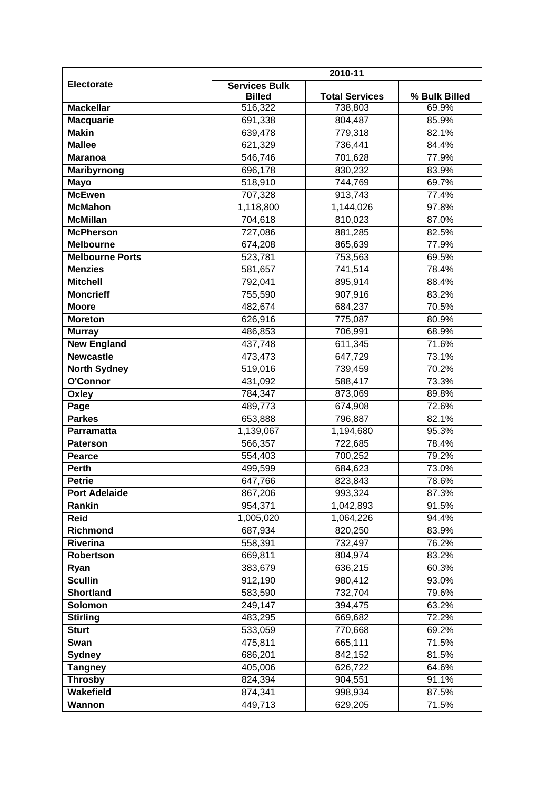|                        | 2010-11                               |                       |               |
|------------------------|---------------------------------------|-----------------------|---------------|
| <b>Electorate</b>      | <b>Services Bulk</b><br><b>Billed</b> | <b>Total Services</b> | % Bulk Billed |
| <b>Mackellar</b>       | 516,322                               | 738,803               | 69.9%         |
| <b>Macquarie</b>       | 691,338                               | 804,487               | 85.9%         |
| <b>Makin</b>           | 639,478                               | 779,318               | 82.1%         |
| <b>Mallee</b>          | 621,329                               | 736,441               | 84.4%         |
| <b>Maranoa</b>         | 546,746                               | 701,628               | 77.9%         |
| <b>Maribyrnong</b>     | 696,178                               | 830,232               | 83.9%         |
| <b>Mayo</b>            | 518,910                               | 744,769               | 69.7%         |
| <b>McEwen</b>          | 707,328                               | 913,743               | 77.4%         |
| <b>McMahon</b>         | 1,118,800                             | 1,144,026             | 97.8%         |
| <b>McMillan</b>        | 704,618                               | 810,023               | 87.0%         |
| <b>McPherson</b>       | 727,086                               | 881,285               | 82.5%         |
| <b>Melbourne</b>       | 674,208                               | 865,639               | 77.9%         |
| <b>Melbourne Ports</b> | 523,781                               | 753,563               | 69.5%         |
| <b>Menzies</b>         | 581,657                               | 741,514               | 78.4%         |
| <b>Mitchell</b>        | 792,041                               | 895,914               | 88.4%         |
| <b>Moncrieff</b>       | 755,590                               | 907,916               | 83.2%         |
| <b>Moore</b>           | 482,674                               | 684,237               | 70.5%         |
| <b>Moreton</b>         | 626,916                               | 775,087               | 80.9%         |
| <b>Murray</b>          | 486,853                               | 706,991               | 68.9%         |
| <b>New England</b>     | 437,748                               | 611,345               | 71.6%         |
| <b>Newcastle</b>       | 473,473                               | 647,729               | 73.1%         |
| <b>North Sydney</b>    | 519,016                               | 739,459               | 70.2%         |
| O'Connor               | 431,092                               | 588,417               | 73.3%         |
| Oxley                  | 784,347                               | 873,069               | 89.8%         |
| Page                   | 489,773                               | 674,908               | 72.6%         |
| <b>Parkes</b>          | 653,888                               | 796,887               | 82.1%         |
| Parramatta             | 1,139,067                             | 1,194,680             | 95.3%         |
| <b>Paterson</b>        | 566,357                               | 722,685               | 78.4%         |
| Pearce                 | 554,403                               | 700,252               | 79.2%         |
| <b>Perth</b>           | 499,599                               | 684,623               | 73.0%         |
| <b>Petrie</b>          | 647,766                               | 823,843               | 78.6%         |
| <b>Port Adelaide</b>   | 867,206                               | 993,324               | 87.3%         |
| Rankin                 | 954,371                               | 1,042,893             | 91.5%         |
| <b>Reid</b>            | 1,005,020                             | 1,064,226             | 94.4%         |
| Richmond               | 687,934                               | 820,250               | 83.9%         |
| Riverina               | 558,391                               | 732,497               | 76.2%         |
| Robertson              | 669,811                               | 804,974               | 83.2%         |
| Ryan                   | 383,679                               | 636,215               | 60.3%         |
| <b>Scullin</b>         | 912,190                               | 980,412               | 93.0%         |
| <b>Shortland</b>       | 583,590                               | 732,704               | 79.6%         |
| <b>Solomon</b>         | 249,147                               | 394,475               | 63.2%         |
| <b>Stirling</b>        | 483,295                               | 669,682               | 72.2%         |
| <b>Sturt</b>           | 533,059                               | 770,668               | 69.2%         |
| Swan                   | 475,811                               | 665,111               | 71.5%         |
| <b>Sydney</b>          | 686,201                               | 842,152               | 81.5%         |
| <b>Tangney</b>         | 405,006                               | 626,722               | 64.6%         |
| <b>Throsby</b>         | 824,394                               | 904,551               | 91.1%         |
| Wakefield              | 874,341                               | 998,934               | 87.5%         |
| Wannon                 | 449,713                               | 629,205               | 71.5%         |